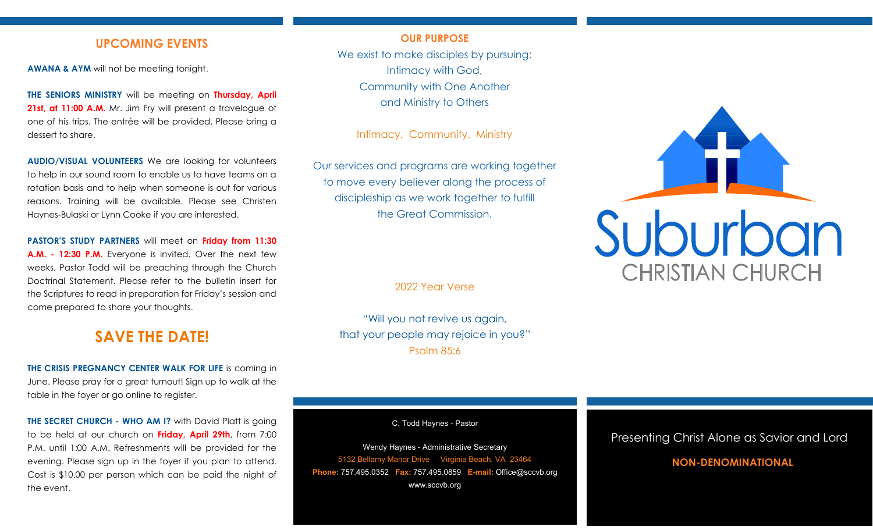## **UPCOMING EVENTS**

**AWANA & AYM** will not be meeting tonight.

**THE SENIORS MINISTRY** will be meeting on **Thursday, April**  21st, at 11:00 A.M. Mr. Jim Fry will present a travelogue of one of his trips. The entrée will be provided. Please bring a dessert to share.

**AUDIO/VISUAL VOLUNTEERS** We are looking for volunteers to help in our sound room to enable us to have teams on a rotation basis and to help when someone is out for various reasons. Training will be available. Please see Christen Haynes-Bulaski or Lynn Cooke if you are interested.

**PASTOR'S STUDY PARTNERS** will meet on **Friday from 11:30 A.M. - 12:30 P.M.** Everyone is invited. Over the next few weeks, Pastor Todd will be preaching through the Church Doctrinal Statement. Please refer to the bulletin insert for the Scriptures to read in preparation for Friday's session and come prepared to share your thoughts.

# **SAVE THE DATE!**

**THE CRISIS PREGNANCY CENTER WALK FOR LIFE** is coming in June. Please pray for a great turnout! Sign up to walk at the table in the foyer or go online to register.

**THE SECRET CHURCH - WHO AM I?** with David Platt is going to be held at our church on **Friday, April 29th**, from 7:00 P.M. until 1:00 A.M. Refreshments will be provided for the evening. Please sign up in the foyer if you plan to attend. Cost is \$10.00 per person which can be paid the night of the event.

### **OUR PURPOSE**

We exist to make disciples by pursuing: Intimacy with God, Community with One Another and Ministry to Others

Intimacy. Community. Ministry

Our services and programs are working together to move every believer along the process of discipleship as we work together to fulfill the Great Commission.

2022 Year Verse

"Will you not revive us again, that your people may rejoice in you?" Psalm 85:6

C. Todd Haynes - Pastor

Wendy Haynes - Administrative Secretary 5132 Bellamy Manor Drive Virginia Beach, VA 23464 **Phone:** 757.495.0352 **Fax:** 757.495.0859 **E-mail:** Office@sccvb.org www.sccvb.org



### Presenting Christ Alone as Savior and Lord

## **NON-DENOMINATIONAL**